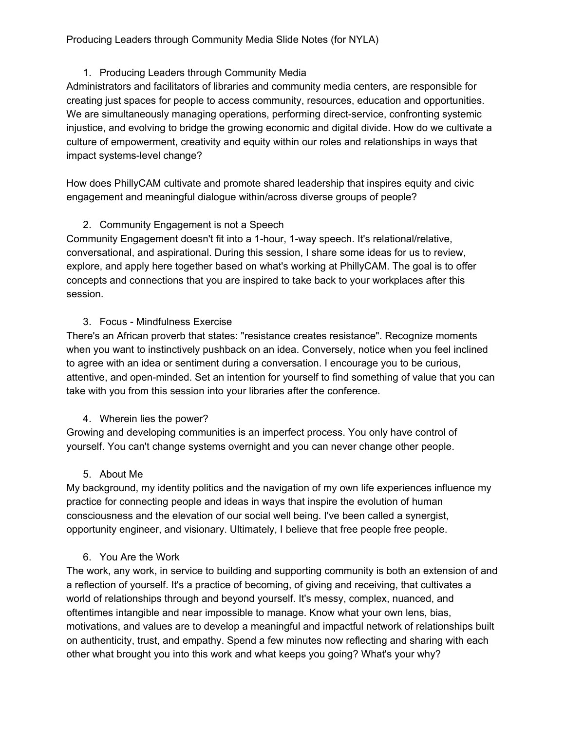### Producing Leaders through Community Media Slide Notes (for NYLA)

### 1. Producing Leaders through Community Media

Administrators and facilitators of libraries and community media centers, are responsible for creating just spaces for people to access community, resources, education and opportunities. We are simultaneously managing operations, performing direct-service, confronting systemic injustice, and evolving to bridge the growing economic and digital divide. How do we cultivate a culture of empowerment, creativity and equity within our roles and relationships in ways that impact systems-level change?

How does PhillyCAM cultivate and promote shared leadership that inspires equity and civic engagement and meaningful dialogue within/across diverse groups of people?

# 2. Community Engagement is not a Speech

Community Engagement doesn't fit into a 1-hour, 1-way speech. It's relational/relative, conversational, and aspirational. During this session, I share some ideas for us to review, explore, and apply here together based on what's working at PhillyCAM. The goal is to offer concepts and connections that you are inspired to take back to your workplaces after this session.

### 3. Focus - Mindfulness Exercise

There's an African proverb that states: "resistance creates resistance". Recognize moments when you want to instinctively pushback on an idea. Conversely, notice when you feel inclined to agree with an idea or sentiment during a conversation. I encourage you to be curious, attentive, and open-minded. Set an intention for yourself to find something of value that you can take with you from this session into your libraries after the conference.

# 4. Wherein lies the power?

Growing and developing communities is an imperfect process. You only have control of yourself. You can't change systems overnight and you can never change other people.

# 5. About Me

My background, my identity politics and the navigation of my own life experiences influence my practice for connecting people and ideas in ways that inspire the evolution of human consciousness and the elevation of our social well being. I've been called a synergist, opportunity engineer, and visionary. Ultimately, I believe that free people free people.

# 6. You Are the Work

The work, any work, in service to building and supporting community is both an extension of and a reflection of yourself. It's a practice of becoming, of giving and receiving, that cultivates a world of relationships through and beyond yourself. It's messy, complex, nuanced, and oftentimes intangible and near impossible to manage. Know what your own lens, bias, motivations, and values are to develop a meaningful and impactful network of relationships built on authenticity, trust, and empathy. Spend a few minutes now reflecting and sharing with each other what brought you into this work and what keeps you going? What's your why?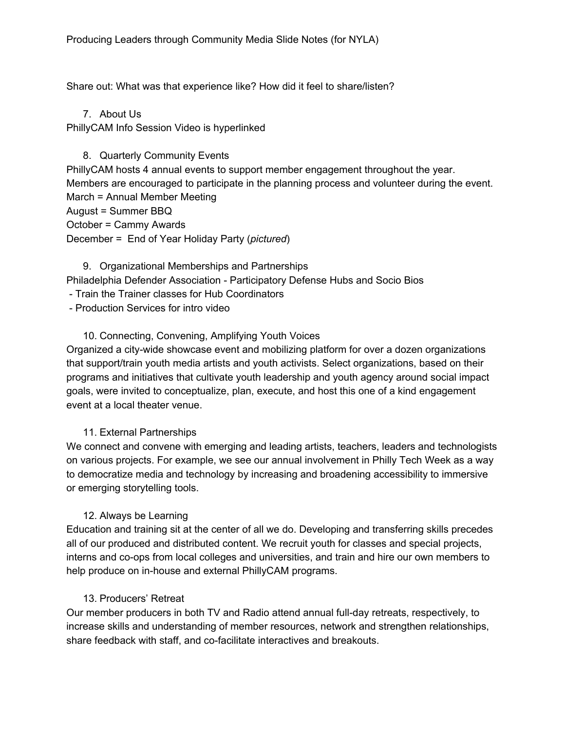Share out: What was that experience like? How did it feel to share/listen?

7. About Us PhillyCAM Info Session Video is hyperlinked

8. Quarterly Community Events PhillyCAM hosts 4 annual events to support member engagement throughout the year. Members are encouraged to participate in the planning process and volunteer during the event. March = Annual Member Meeting August = Summer BBQ October = Cammy Awards December = End of Year Holiday Party (*pictured*)

9. Organizational Memberships and Partnerships Philadelphia Defender Association - Participatory Defense Hubs and Socio Bios - Train the Trainer classes for Hub Coordinators

- Production Services for intro video

# 10. Connecting, Convening, Amplifying Youth Voices

Organized a city-wide showcase event and mobilizing platform for over a dozen organizations that support/train youth media artists and youth activists. Select organizations, based on their programs and initiatives that cultivate youth leadership and youth agency around social impact goals, were invited to conceptualize, plan, execute, and host this one of a kind engagement event at a local theater venue.

### 11. External Partnerships

We connect and convene with emerging and leading artists, teachers, leaders and technologists on various projects. For example, we see our annual involvement in Philly Tech Week as a way to democratize media and technology by increasing and broadening accessibility to immersive or emerging storytelling tools.

### 12. Always be Learning

Education and training sit at the center of all we do. Developing and transferring skills precedes all of our produced and distributed content. We recruit youth for classes and special projects, interns and co-ops from local colleges and universities, and train and hire our own members to help produce on in-house and external PhillyCAM programs.

### 13. Producers' Retreat

Our member producers in both TV and Radio attend annual full-day retreats, respectively, to increase skills and understanding of member resources, network and strengthen relationships, share feedback with staff, and co-facilitate interactives and breakouts.